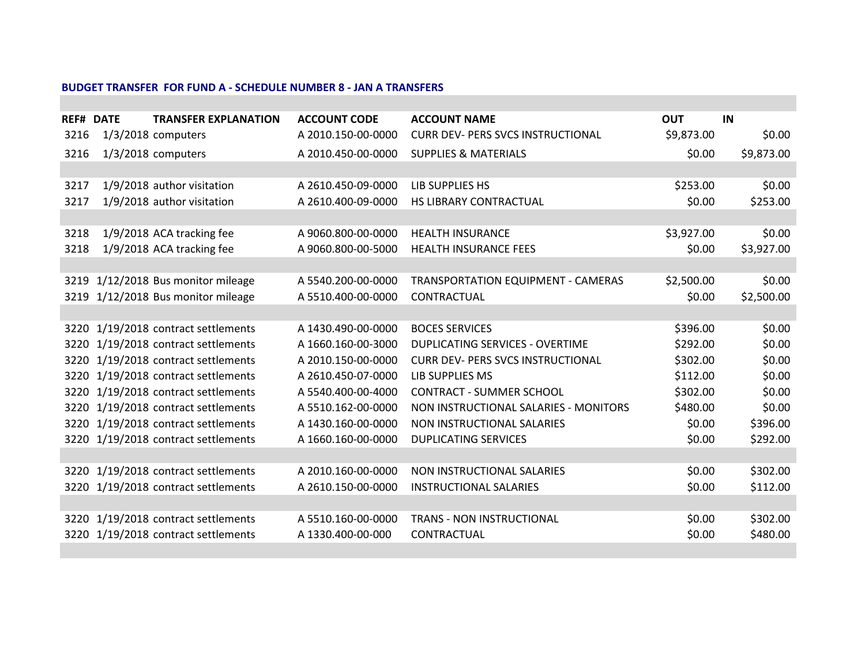## **BUDGET TRANSFER FOR FUND A - SCHEDULE NUMBER 8 - JAN A TRANSFERS**

|      | <b>REF# DATE</b> | <b>TRANSFER EXPLANATION</b>         | <b>ACCOUNT CODE</b> | <b>ACCOUNT NAME</b>                       | <b>OUT</b> | IN         |
|------|------------------|-------------------------------------|---------------------|-------------------------------------------|------------|------------|
| 3216 |                  | $1/3/2018$ computers                | A 2010.150-00-0000  | <b>CURR DEV- PERS SVCS INSTRUCTIONAL</b>  | \$9,873.00 | \$0.00     |
| 3216 |                  | $1/3/2018$ computers                | A 2010.450-00-0000  | <b>SUPPLIES &amp; MATERIALS</b>           | \$0.00     | \$9,873.00 |
|      |                  |                                     |                     |                                           |            |            |
| 3217 |                  | 1/9/2018 author visitation          | A 2610.450-09-0000  | LIB SUPPLIES HS                           | \$253.00   | \$0.00     |
| 3217 |                  | 1/9/2018 author visitation          | A 2610.400-09-0000  | HS LIBRARY CONTRACTUAL                    | \$0.00     | \$253.00   |
|      |                  |                                     |                     |                                           |            |            |
| 3218 |                  | 1/9/2018 ACA tracking fee           | A 9060.800-00-0000  | <b>HEALTH INSURANCE</b>                   | \$3,927.00 | \$0.00     |
| 3218 |                  | 1/9/2018 ACA tracking fee           | A 9060.800-00-5000  | <b>HEALTH INSURANCE FEES</b>              | \$0.00     | \$3,927.00 |
|      |                  |                                     |                     |                                           |            |            |
| 3219 |                  | 1/12/2018 Bus monitor mileage       | A 5540.200-00-0000  | <b>TRANSPORTATION EQUIPMENT - CAMERAS</b> | \$2,500.00 | \$0.00     |
|      |                  | 3219 1/12/2018 Bus monitor mileage  | A 5510.400-00-0000  | CONTRACTUAL                               | \$0.00     | \$2,500.00 |
|      |                  |                                     |                     |                                           |            |            |
| 3220 |                  | 1/19/2018 contract settlements      | A 1430.490-00-0000  | <b>BOCES SERVICES</b>                     | \$396.00   | \$0.00     |
| 3220 |                  | 1/19/2018 contract settlements      | A 1660.160-00-3000  | <b>DUPLICATING SERVICES - OVERTIME</b>    | \$292.00   | \$0.00     |
| 3220 |                  | 1/19/2018 contract settlements      | A 2010.150-00-0000  | <b>CURR DEV- PERS SVCS INSTRUCTIONAL</b>  | \$302.00   | \$0.00     |
| 3220 |                  | 1/19/2018 contract settlements      | A 2610.450-07-0000  | LIB SUPPLIES MS                           | \$112.00   | \$0.00     |
| 3220 |                  | 1/19/2018 contract settlements      | A 5540.400-00-4000  | <b>CONTRACT - SUMMER SCHOOL</b>           | \$302.00   | \$0.00     |
| 3220 |                  | 1/19/2018 contract settlements      | A 5510.162-00-0000  | NON INSTRUCTIONAL SALARIES - MONITORS     | \$480.00   | \$0.00     |
| 3220 |                  | 1/19/2018 contract settlements      | A 1430.160-00-0000  | NON INSTRUCTIONAL SALARIES                | \$0.00     | \$396.00   |
|      |                  | 3220 1/19/2018 contract settlements | A 1660.160-00-0000  | <b>DUPLICATING SERVICES</b>               | \$0.00     | \$292.00   |
|      |                  |                                     |                     |                                           |            |            |
| 3220 |                  | 1/19/2018 contract settlements      | A 2010.160-00-0000  | NON INSTRUCTIONAL SALARIES                | \$0.00     | \$302.00   |
|      |                  | 3220 1/19/2018 contract settlements | A 2610.150-00-0000  | <b>INSTRUCTIONAL SALARIES</b>             | \$0.00     | \$112.00   |
|      |                  |                                     |                     |                                           |            |            |
| 3220 |                  | 1/19/2018 contract settlements      | A 5510.160-00-0000  | <b>TRANS - NON INSTRUCTIONAL</b>          | \$0.00     | \$302.00   |
| 3220 |                  | 1/19/2018 contract settlements      | A 1330.400-00-000   | CONTRACTUAL                               | \$0.00     | \$480.00   |
|      |                  |                                     |                     |                                           |            |            |